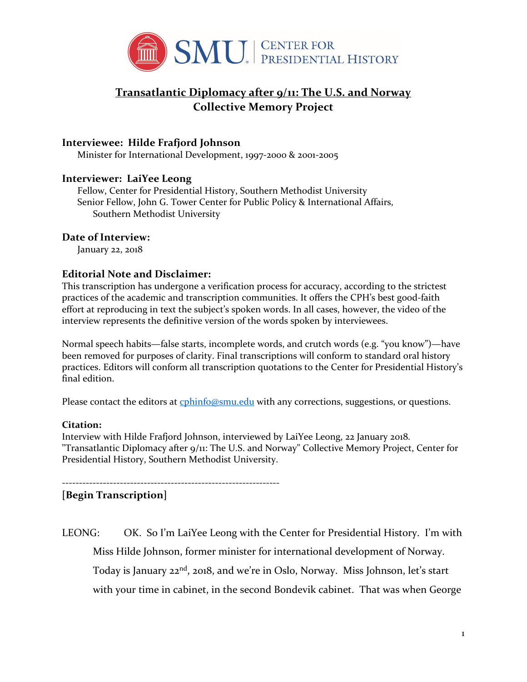

# **Transatlantic Diplomacy after 9/11: The U.S. and Norway Collective Memory Project**

## **Interviewee: Hilde Frafjord Johnson**

Minister for International Development, 1997-2000 & 2001-2005

## **Interviewer: LaiYee Leong**

Fellow, Center for Presidential History, Southern Methodist University Senior Fellow, John G. Tower Center for Public Policy & International Affairs, Southern Methodist University

### **Date of Interview:**

January 22, 2018

## **Editorial Note and Disclaimer:**

This transcription has undergone a verification process for accuracy, according to the strictest practices of the academic and transcription communities. It offers the CPH's best good-faith effort at reproducing in text the subject's spoken words. In all cases, however, the video of the interview represents the definitive version of the words spoken by interviewees.

Normal speech habits—false starts, incomplete words, and crutch words (e.g. "you know")—have been removed for purposes of clarity. Final transcriptions will conform to standard oral history practices. Editors will conform all transcription quotations to the Center for Presidential History's final edition.

Please contact the editors at [cphinfo@smu.edu](mailto:cphinfo@smu.edu) with any corrections, suggestions, or questions.

#### **Citation:**

Interview with Hilde Frafjord Johnson, interviewed by LaiYee Leong, 22 January 2018. "Transatlantic Diplomacy after 9/11: The U.S. and Norway" Collective Memory Project, Center for Presidential History, Southern Methodist University.

----------------------------------------------------------------

**[Begin Transcription]**

LEONG: OK. So I'm LaiYee Leong with the Center for Presidential History. I'm with Miss Hilde Johnson, former minister for international development of Norway. Today is January 22<sup>nd</sup>, 2018, and we're in Oslo, Norway. Miss Johnson, let's start with your time in cabinet, in the second Bondevik cabinet. That was when George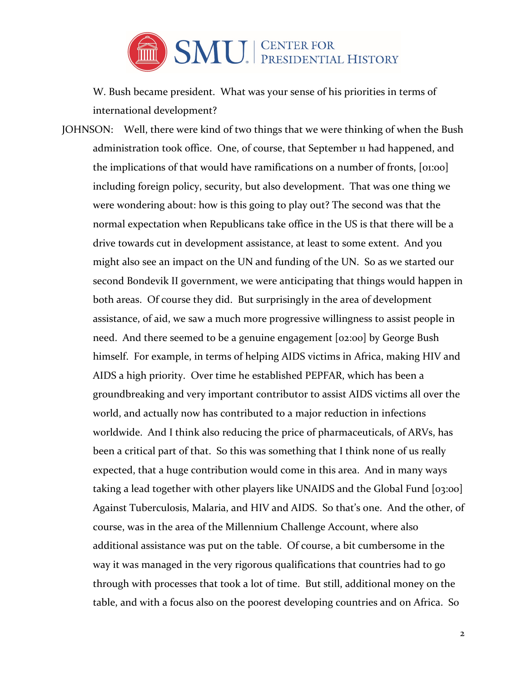

W. Bush became president. What was your sense of his priorities in terms of international development?

JOHNSON: Well, there were kind of two things that we were thinking of when the Bush administration took office. One, of course, that September 11 had happened, and the implications of that would have ramifications on a number of fronts, [01:00] including foreign policy, security, but also development. That was one thing we were wondering about: how is this going to play out? The second was that the normal expectation when Republicans take office in the US is that there will be a drive towards cut in development assistance, at least to some extent. And you might also see an impact on the UN and funding of the UN. So as we started our second Bondevik II government, we were anticipating that things would happen in both areas. Of course they did. But surprisingly in the area of development assistance, of aid, we saw a much more progressive willingness to assist people in need. And there seemed to be a genuine engagement [02:00] by George Bush himself. For example, in terms of helping AIDS victims in Africa, making HIV and AIDS a high priority. Over time he established PEPFAR, which has been a groundbreaking and very important contributor to assist AIDS victims all over the world, and actually now has contributed to a major reduction in infections worldwide. And I think also reducing the price of pharmaceuticals, of ARVs, has been a critical part of that. So this was something that I think none of us really expected, that a huge contribution would come in this area. And in many ways taking a lead together with other players like UNAIDS and the Global Fund [03:00] Against Tuberculosis, Malaria, and HIV and AIDS. So that's one. And the other, of course, was in the area of the Millennium Challenge Account, where also additional assistance was put on the table. Of course, a bit cumbersome in the way it was managed in the very rigorous qualifications that countries had to go through with processes that took a lot of time. But still, additional money on the table, and with a focus also on the poorest developing countries and on Africa. So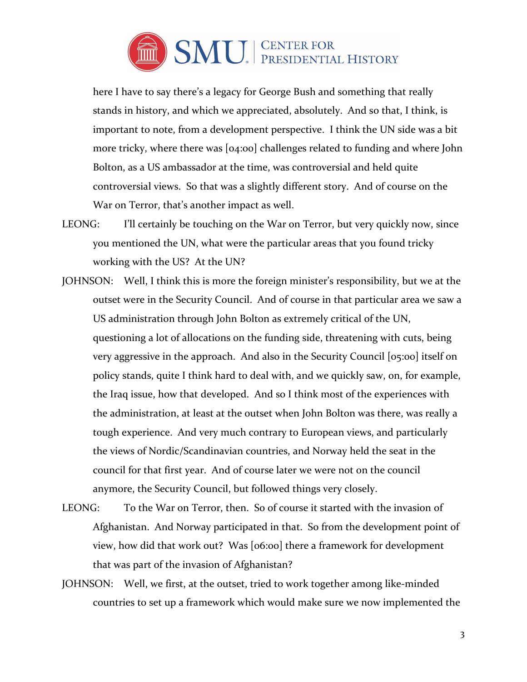

here I have to say there's a legacy for George Bush and something that really stands in history, and which we appreciated, absolutely. And so that, I think, is important to note, from a development perspective. I think the UN side was a bit more tricky, where there was [04:00] challenges related to funding and where John Bolton, as a US ambassador at the time, was controversial and held quite controversial views. So that was a slightly different story. And of course on the War on Terror, that's another impact as well.

- LEONG: I'll certainly be touching on the War on Terror, but very quickly now, since you mentioned the UN, what were the particular areas that you found tricky working with the US? At the UN?
- JOHNSON: Well, I think this is more the foreign minister's responsibility, but we at the outset were in the Security Council. And of course in that particular area we saw a US administration through John Bolton as extremely critical of the UN, questioning a lot of allocations on the funding side, threatening with cuts, being very aggressive in the approach. And also in the Security Council [05:00] itself on policy stands, quite I think hard to deal with, and we quickly saw, on, for example, the Iraq issue, how that developed. And so I think most of the experiences with the administration, at least at the outset when John Bolton was there, was really a tough experience. And very much contrary to European views, and particularly the views of Nordic/Scandinavian countries, and Norway held the seat in the council for that first year. And of course later we were not on the council anymore, the Security Council, but followed things very closely.
- LEONG: To the War on Terror, then. So of course it started with the invasion of Afghanistan. And Norway participated in that. So from the development point of view, how did that work out? Was [06:00] there a framework for development that was part of the invasion of Afghanistan?
- JOHNSON: Well, we first, at the outset, tried to work together among like-minded countries to set up a framework which would make sure we now implemented the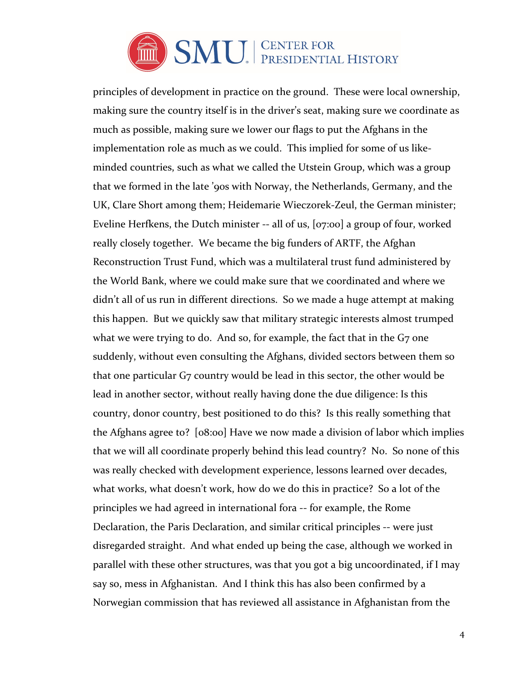

principles of development in practice on the ground. These were local ownership, making sure the country itself is in the driver's seat, making sure we coordinate as much as possible, making sure we lower our flags to put the Afghans in the implementation role as much as we could. This implied for some of us likeminded countries, such as what we called the Utstein Group, which was a group that we formed in the late '90s with Norway, the Netherlands, Germany, and the UK, Clare Short among them; Heidemarie Wieczorek-Zeul, the German minister; Eveline Herfkens, the Dutch minister -- all of us, [07:00] a group of four, worked really closely together. We became the big funders of ARTF, the Afghan Reconstruction Trust Fund, which was a multilateral trust fund administered by the World Bank, where we could make sure that we coordinated and where we didn't all of us run in different directions. So we made a huge attempt at making this happen. But we quickly saw that military strategic interests almost trumped what we were trying to do. And so, for example, the fact that in the G7 one suddenly, without even consulting the Afghans, divided sectors between them so that one particular G7 country would be lead in this sector, the other would be lead in another sector, without really having done the due diligence: Is this country, donor country, best positioned to do this? Is this really something that the Afghans agree to? [08:00] Have we now made a division of labor which implies that we will all coordinate properly behind this lead country? No. So none of this was really checked with development experience, lessons learned over decades, what works, what doesn't work, how do we do this in practice? So a lot of the principles we had agreed in international fora -- for example, the Rome Declaration, the Paris Declaration, and similar critical principles -- were just disregarded straight. And what ended up being the case, although we worked in parallel with these other structures, was that you got a big uncoordinated, if I may say so, mess in Afghanistan. And I think this has also been confirmed by a Norwegian commission that has reviewed all assistance in Afghanistan from the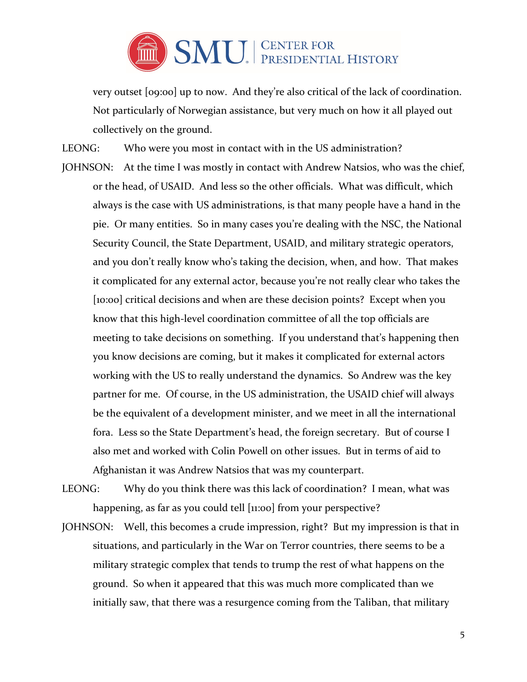

very outset [09:00] up to now. And they're also critical of the lack of coordination. Not particularly of Norwegian assistance, but very much on how it all played out collectively on the ground.

LEONG: Who were you most in contact with in the US administration?

- JOHNSON: At the time I was mostly in contact with Andrew Natsios, who was the chief, or the head, of USAID. And less so the other officials. What was difficult, which always is the case with US administrations, is that many people have a hand in the pie. Or many entities. So in many cases you're dealing with the NSC, the National Security Council, the State Department, USAID, and military strategic operators, and you don't really know who's taking the decision, when, and how. That makes it complicated for any external actor, because you're not really clear who takes the [10:00] critical decisions and when are these decision points? Except when you know that this high-level coordination committee of all the top officials are meeting to take decisions on something. If you understand that's happening then you know decisions are coming, but it makes it complicated for external actors working with the US to really understand the dynamics. So Andrew was the key partner for me. Of course, in the US administration, the USAID chief will always be the equivalent of a development minister, and we meet in all the international fora. Less so the State Department's head, the foreign secretary. But of course I also met and worked with Colin Powell on other issues. But in terms of aid to Afghanistan it was Andrew Natsios that was my counterpart.
- LEONG: Why do you think there was this lack of coordination? I mean, what was happening, as far as you could tell [11:00] from your perspective?
- JOHNSON: Well, this becomes a crude impression, right? But my impression is that in situations, and particularly in the War on Terror countries, there seems to be a military strategic complex that tends to trump the rest of what happens on the ground. So when it appeared that this was much more complicated than we initially saw, that there was a resurgence coming from the Taliban, that military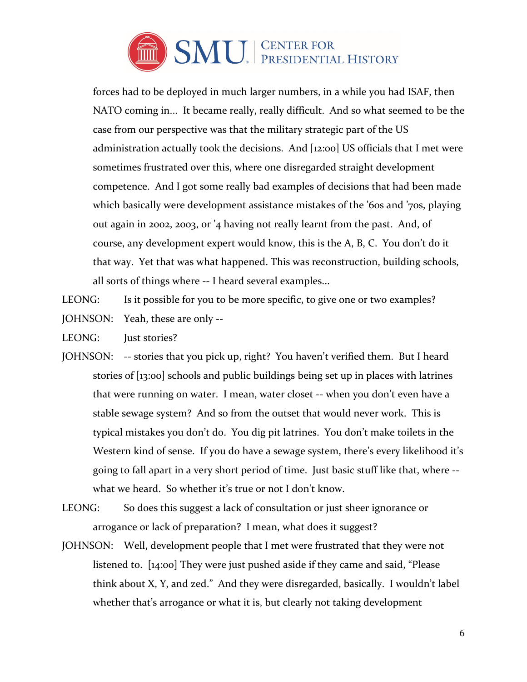

forces had to be deployed in much larger numbers, in a while you had ISAF, then NATO coming in... It became really, really difficult. And so what seemed to be the case from our perspective was that the military strategic part of the US administration actually took the decisions. And [12:00] US officials that I met were sometimes frustrated over this, where one disregarded straight development competence. And I got some really bad examples of decisions that had been made which basically were development assistance mistakes of the '60s and '70s, playing out again in 2002, 2003, or '4 having not really learnt from the past. And, of course, any development expert would know, this is the A, B, C. You don't do it that way. Yet that was what happened. This was reconstruction, building schools, all sorts of things where -- I heard several examples...

LEONG: Is it possible for you to be more specific, to give one or two examples?

- JOHNSON: Yeah, these are only --
- LEONG: **Iust stories?**
- JOHNSON: -- stories that you pick up, right? You haven't verified them. But I heard stories of [13:00] schools and public buildings being set up in places with latrines that were running on water. I mean, water closet -- when you don't even have a stable sewage system? And so from the outset that would never work. This is typical mistakes you don't do. You dig pit latrines. You don't make toilets in the Western kind of sense. If you do have a sewage system, there's every likelihood it's going to fall apart in a very short period of time. Just basic stuff like that, where - what we heard. So whether it's true or not I don't know.
- LEONG: So does this suggest a lack of consultation or just sheer ignorance or arrogance or lack of preparation? I mean, what does it suggest?
- JOHNSON: Well, development people that I met were frustrated that they were not listened to. [14:00] They were just pushed aside if they came and said, "Please think about X, Y, and zed." And they were disregarded, basically. I wouldn't label whether that's arrogance or what it is, but clearly not taking development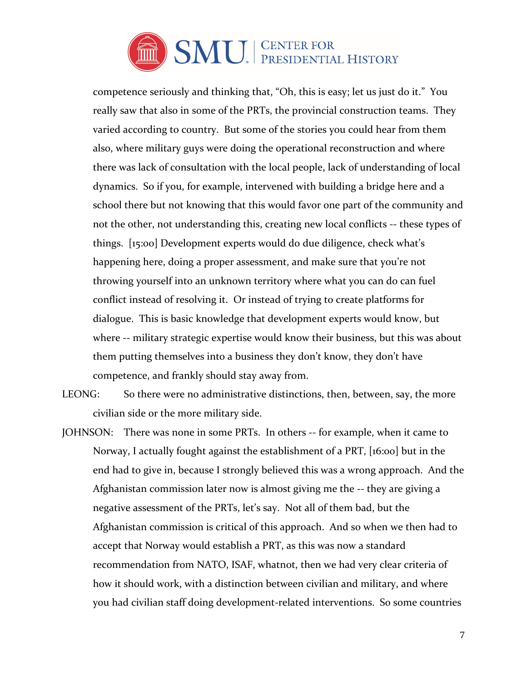

competence seriously and thinking that, "Oh, this is easy; let us just do it." You really saw that also in some of the PRTs, the provincial construction teams. They varied according to country. But some of the stories you could hear from them also, where military guys were doing the operational reconstruction and where there was lack of consultation with the local people, lack of understanding of local dynamics. So if you, for example, intervened with building a bridge here and a school there but not knowing that this would favor one part of the community and not the other, not understanding this, creating new local conflicts -- these types of things. [15:00] Development experts would do due diligence, check what's happening here, doing a proper assessment, and make sure that you're not throwing yourself into an unknown territory where what you can do can fuel conflict instead of resolving it. Or instead of trying to create platforms for dialogue. This is basic knowledge that development experts would know, but where -- military strategic expertise would know their business, but this was about them putting themselves into a business they don't know, they don't have competence, and frankly should stay away from.

LEONG: So there were no administrative distinctions, then, between, say, the more civilian side or the more military side.

JOHNSON: There was none in some PRTs. In others -- for example, when it came to Norway, I actually fought against the establishment of a PRT, [16:00] but in the end had to give in, because I strongly believed this was a wrong approach. And the Afghanistan commission later now is almost giving me the -- they are giving a negative assessment of the PRTs, let's say. Not all of them bad, but the Afghanistan commission is critical of this approach. And so when we then had to accept that Norway would establish a PRT, as this was now a standard recommendation from NATO, ISAF, whatnot, then we had very clear criteria of how it should work, with a distinction between civilian and military, and where you had civilian staff doing development-related interventions. So some countries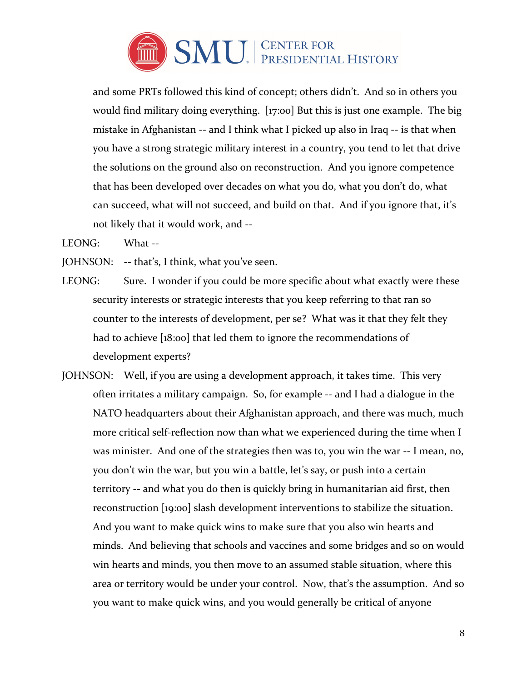

and some PRTs followed this kind of concept; others didn't. And so in others you would find military doing everything. [17:00] But this is just one example. The big mistake in Afghanistan -- and I think what I picked up also in Iraq -- is that when you have a strong strategic military interest in a country, you tend to let that drive the solutions on the ground also on reconstruction. And you ignore competence that has been developed over decades on what you do, what you don't do, what can succeed, what will not succeed, and build on that. And if you ignore that, it's not likely that it would work, and --

LEONG: What --

JOHNSON: -- that's, I think, what you've seen.

- LEONG: Sure. I wonder if you could be more specific about what exactly were these security interests or strategic interests that you keep referring to that ran so counter to the interests of development, per se? What was it that they felt they had to achieve [18:00] that led them to ignore the recommendations of development experts?
- JOHNSON: Well, if you are using a development approach, it takes time. This very often irritates a military campaign. So, for example -- and I had a dialogue in the NATO headquarters about their Afghanistan approach, and there was much, much more critical self-reflection now than what we experienced during the time when I was minister. And one of the strategies then was to, you win the war -- I mean, no, you don't win the war, but you win a battle, let's say, or push into a certain territory -- and what you do then is quickly bring in humanitarian aid first, then reconstruction [19:00] slash development interventions to stabilize the situation. And you want to make quick wins to make sure that you also win hearts and minds. And believing that schools and vaccines and some bridges and so on would win hearts and minds, you then move to an assumed stable situation, where this area or territory would be under your control. Now, that's the assumption. And so you want to make quick wins, and you would generally be critical of anyone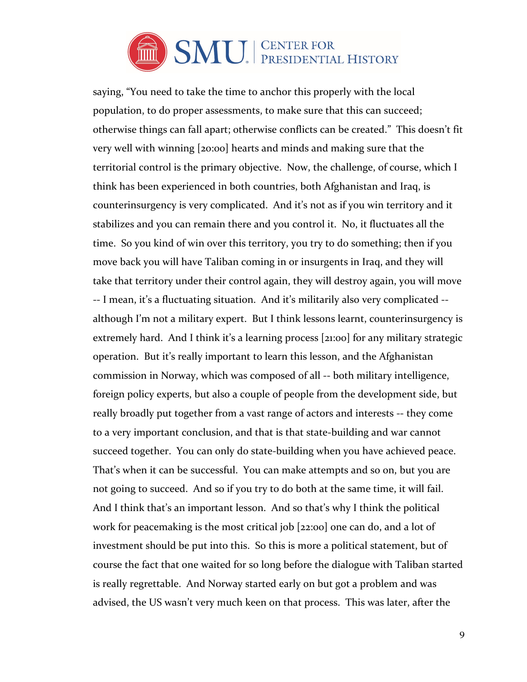

saying, "You need to take the time to anchor this properly with the local population, to do proper assessments, to make sure that this can succeed; otherwise things can fall apart; otherwise conflicts can be created." This doesn't fit very well with winning [20:00] hearts and minds and making sure that the territorial control is the primary objective. Now, the challenge, of course, which I think has been experienced in both countries, both Afghanistan and Iraq, is counterinsurgency is very complicated. And it's not as if you win territory and it stabilizes and you can remain there and you control it. No, it fluctuates all the time. So you kind of win over this territory, you try to do something; then if you move back you will have Taliban coming in or insurgents in Iraq, and they will take that territory under their control again, they will destroy again, you will move -- I mean, it's a fluctuating situation. And it's militarily also very complicated - although I'm not a military expert. But I think lessons learnt, counterinsurgency is extremely hard. And I think it's a learning process [21:00] for any military strategic operation. But it's really important to learn this lesson, and the Afghanistan commission in Norway, which was composed of all -- both military intelligence, foreign policy experts, but also a couple of people from the development side, but really broadly put together from a vast range of actors and interests -- they come to a very important conclusion, and that is that state-building and war cannot succeed together. You can only do state-building when you have achieved peace. That's when it can be successful. You can make attempts and so on, but you are not going to succeed. And so if you try to do both at the same time, it will fail. And I think that's an important lesson. And so that's why I think the political work for peacemaking is the most critical job [22:00] one can do, and a lot of investment should be put into this. So this is more a political statement, but of course the fact that one waited for so long before the dialogue with Taliban started is really regrettable. And Norway started early on but got a problem and was advised, the US wasn't very much keen on that process. This was later, after the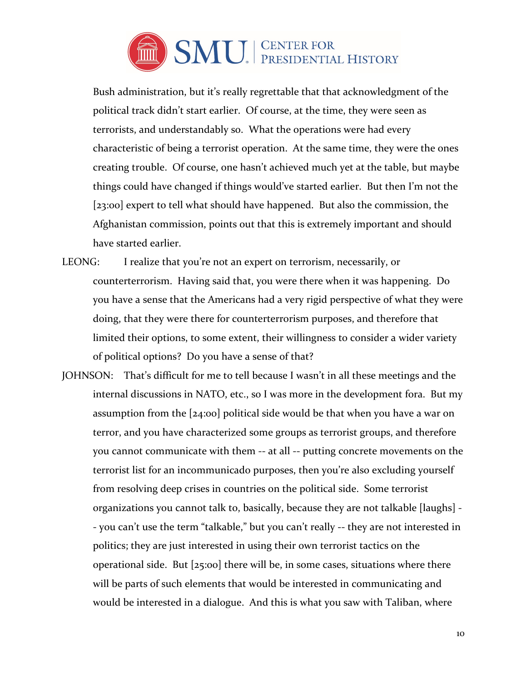

Bush administration, but it's really regrettable that that acknowledgment of the political track didn't start earlier. Of course, at the time, they were seen as terrorists, and understandably so. What the operations were had every characteristic of being a terrorist operation. At the same time, they were the ones creating trouble. Of course, one hasn't achieved much yet at the table, but maybe things could have changed if things would've started earlier. But then I'm not the [23:00] expert to tell what should have happened. But also the commission, the Afghanistan commission, points out that this is extremely important and should have started earlier.

- LEONG: I realize that you're not an expert on terrorism, necessarily, or counterterrorism. Having said that, you were there when it was happening. Do you have a sense that the Americans had a very rigid perspective of what they were doing, that they were there for counterterrorism purposes, and therefore that limited their options, to some extent, their willingness to consider a wider variety of political options? Do you have a sense of that?
- JOHNSON: That's difficult for me to tell because I wasn't in all these meetings and the internal discussions in NATO, etc., so I was more in the development fora. But my assumption from the [24:00] political side would be that when you have a war on terror, and you have characterized some groups as terrorist groups, and therefore you cannot communicate with them -- at all -- putting concrete movements on the terrorist list for an incommunicado purposes, then you're also excluding yourself from resolving deep crises in countries on the political side. Some terrorist organizations you cannot talk to, basically, because they are not talkable [laughs] - - you can't use the term "talkable," but you can't really -- they are not interested in politics; they are just interested in using their own terrorist tactics on the operational side. But [25:00] there will be, in some cases, situations where there will be parts of such elements that would be interested in communicating and would be interested in a dialogue. And this is what you saw with Taliban, where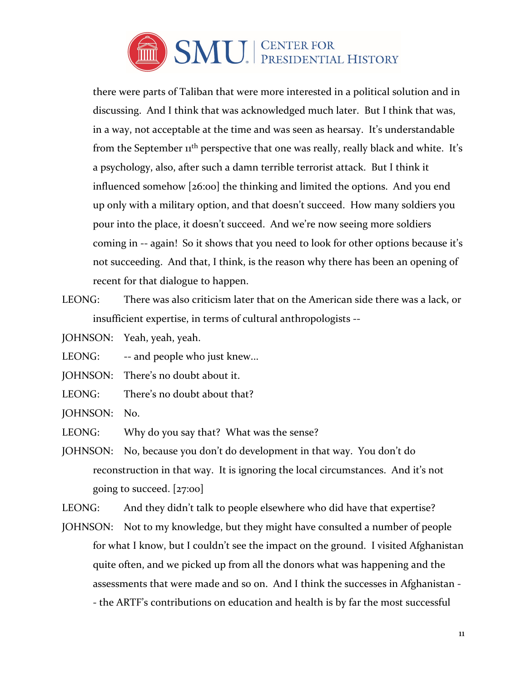

there were parts of Taliban that were more interested in a political solution and in discussing. And I think that was acknowledged much later. But I think that was, in a way, not acceptable at the time and was seen as hearsay. It's understandable from the September  $11<sup>th</sup>$  perspective that one was really, really black and white. It's a psychology, also, after such a damn terrible terrorist attack. But I think it influenced somehow [26:00] the thinking and limited the options. And you end up only with a military option, and that doesn't succeed. How many soldiers you pour into the place, it doesn't succeed. And we're now seeing more soldiers coming in -- again! So it shows that you need to look for other options because it's not succeeding. And that, I think, is the reason why there has been an opening of recent for that dialogue to happen.

LEONG: There was also criticism later that on the American side there was a lack, or insufficient expertise, in terms of cultural anthropologists --

JOHNSON: Yeah, yeah, yeah.

LEONG: -- and people who just knew...

JOHNSON: There's no doubt about it.

LEONG: There's no doubt about that?

JOHNSON: No.

LEONG: Why do you say that? What was the sense?

JOHNSON: No, because you don't do development in that way. You don't do reconstruction in that way. It is ignoring the local circumstances. And it's not going to succeed. [27:00]

LEONG: And they didn't talk to people elsewhere who did have that expertise?

JOHNSON: Not to my knowledge, but they might have consulted a number of people for what I know, but I couldn't see the impact on the ground. I visited Afghanistan quite often, and we picked up from all the donors what was happening and the assessments that were made and so on. And I think the successes in Afghanistan - - the ARTF's contributions on education and health is by far the most successful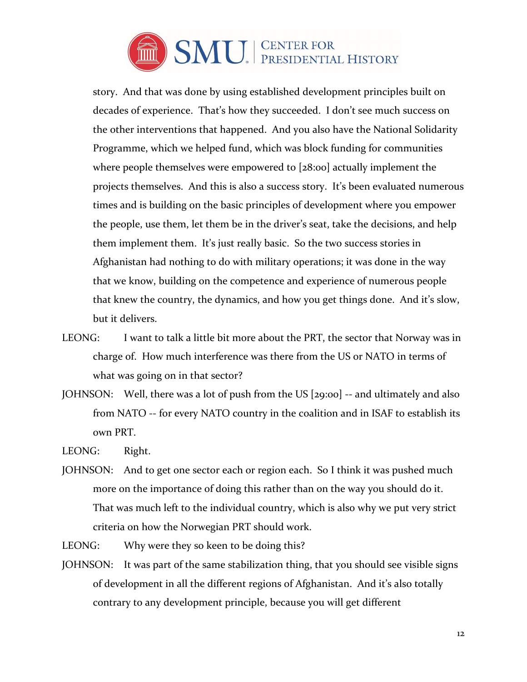

story. And that was done by using established development principles built on decades of experience. That's how they succeeded. I don't see much success on the other interventions that happened. And you also have the National Solidarity Programme, which we helped fund, which was block funding for communities where people themselves were empowered to [28:00] actually implement the projects themselves. And this is also a success story. It's been evaluated numerous times and is building on the basic principles of development where you empower the people, use them, let them be in the driver's seat, take the decisions, and help them implement them. It's just really basic. So the two success stories in Afghanistan had nothing to do with military operations; it was done in the way that we know, building on the competence and experience of numerous people that knew the country, the dynamics, and how you get things done. And it's slow, but it delivers.

- LEONG: I want to talk a little bit more about the PRT, the sector that Norway was in charge of. How much interference was there from the US or NATO in terms of what was going on in that sector?
- JOHNSON: Well, there was a lot of push from the US [29:00] -- and ultimately and also from NATO -- for every NATO country in the coalition and in ISAF to establish its own PRT.

LEONG: Right.

JOHNSON: And to get one sector each or region each. So I think it was pushed much more on the importance of doing this rather than on the way you should do it. That was much left to the individual country, which is also why we put very strict criteria on how the Norwegian PRT should work.

LEONG: Why were they so keen to be doing this?

JOHNSON: It was part of the same stabilization thing, that you should see visible signs of development in all the different regions of Afghanistan. And it's also totally contrary to any development principle, because you will get different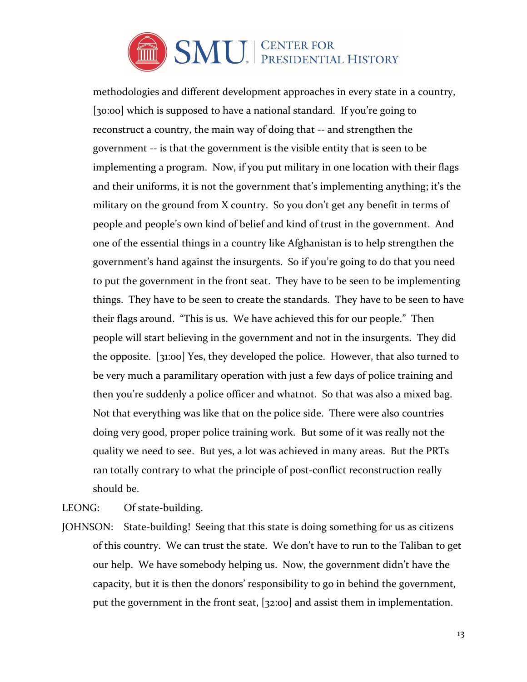

methodologies and different development approaches in every state in a country, [30:00] which is supposed to have a national standard. If you're going to reconstruct a country, the main way of doing that -- and strengthen the government -- is that the government is the visible entity that is seen to be implementing a program. Now, if you put military in one location with their flags and their uniforms, it is not the government that's implementing anything; it's the military on the ground from X country. So you don't get any benefit in terms of people and people's own kind of belief and kind of trust in the government. And one of the essential things in a country like Afghanistan is to help strengthen the government's hand against the insurgents. So if you're going to do that you need to put the government in the front seat. They have to be seen to be implementing things. They have to be seen to create the standards. They have to be seen to have their flags around. "This is us. We have achieved this for our people." Then people will start believing in the government and not in the insurgents. They did the opposite. [31:00] Yes, they developed the police. However, that also turned to be very much a paramilitary operation with just a few days of police training and then you're suddenly a police officer and whatnot. So that was also a mixed bag. Not that everything was like that on the police side. There were also countries doing very good, proper police training work. But some of it was really not the quality we need to see. But yes, a lot was achieved in many areas. But the PRTs ran totally contrary to what the principle of post-conflict reconstruction really should be.

LEONG: Of state-building.

JOHNSON: State-building! Seeing that this state is doing something for us as citizens of this country. We can trust the state. We don't have to run to the Taliban to get our help. We have somebody helping us. Now, the government didn't have the capacity, but it is then the donors' responsibility to go in behind the government, put the government in the front seat, [32:00] and assist them in implementation.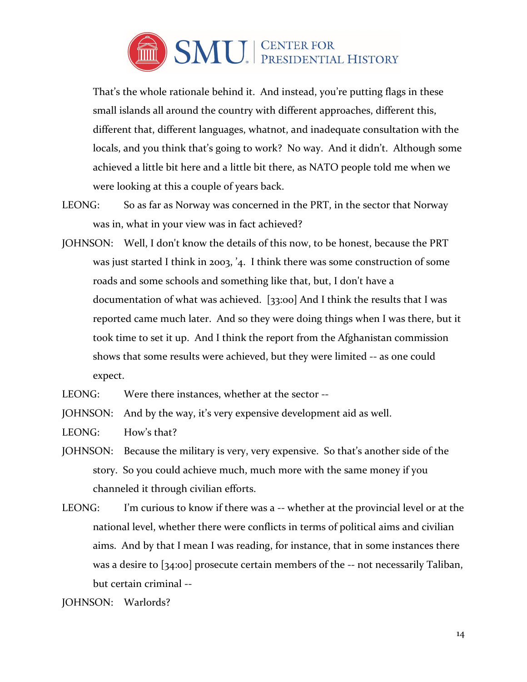

That's the whole rationale behind it. And instead, you're putting flags in these small islands all around the country with different approaches, different this, different that, different languages, whatnot, and inadequate consultation with the locals, and you think that's going to work? No way. And it didn't. Although some achieved a little bit here and a little bit there, as NATO people told me when we were looking at this a couple of years back.

- LEONG: So as far as Norway was concerned in the PRT, in the sector that Norway was in, what in your view was in fact achieved?
- JOHNSON: Well, I don't know the details of this now, to be honest, because the PRT was just started I think in 2003, '4. I think there was some construction of some roads and some schools and something like that, but, I don't have a documentation of what was achieved. [33:00] And I think the results that I was reported came much later. And so they were doing things when I was there, but it took time to set it up. And I think the report from the Afghanistan commission shows that some results were achieved, but they were limited -- as one could expect.

LEONG: Were there instances, whether at the sector --

JOHNSON: And by the way, it's very expensive development aid as well.

LEONG: How's that?

- JOHNSON: Because the military is very, very expensive. So that's another side of the story. So you could achieve much, much more with the same money if you channeled it through civilian efforts.
- LEONG: I'm curious to know if there was a -- whether at the provincial level or at the national level, whether there were conflicts in terms of political aims and civilian aims. And by that I mean I was reading, for instance, that in some instances there was a desire to [34:00] prosecute certain members of the -- not necessarily Taliban, but certain criminal --

JOHNSON: Warlords?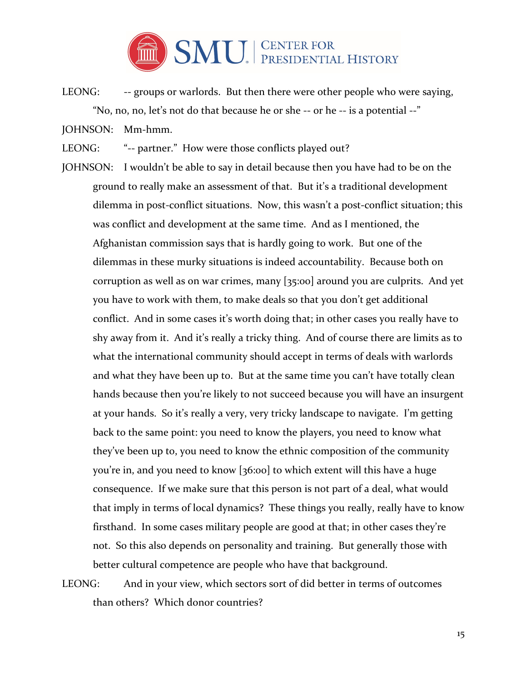

- LEONG: -- groups or warlords. But then there were other people who were saying, "No, no, no, let's not do that because he or she -- or he -- is a potential --"
- JOHNSON: Mm-hmm.
- LEONG: "-- partner." How were those conflicts played out?
- JOHNSON: I wouldn't be able to say in detail because then you have had to be on the ground to really make an assessment of that. But it's a traditional development dilemma in post-conflict situations. Now, this wasn't a post-conflict situation; this was conflict and development at the same time. And as I mentioned, the Afghanistan commission says that is hardly going to work. But one of the dilemmas in these murky situations is indeed accountability. Because both on corruption as well as on war crimes, many [35:00] around you are culprits. And yet you have to work with them, to make deals so that you don't get additional conflict. And in some cases it's worth doing that; in other cases you really have to shy away from it. And it's really a tricky thing. And of course there are limits as to what the international community should accept in terms of deals with warlords and what they have been up to. But at the same time you can't have totally clean hands because then you're likely to not succeed because you will have an insurgent at your hands. So it's really a very, very tricky landscape to navigate. I'm getting back to the same point: you need to know the players, you need to know what they've been up to, you need to know the ethnic composition of the community you're in, and you need to know [36:00] to which extent will this have a huge consequence. If we make sure that this person is not part of a deal, what would that imply in terms of local dynamics? These things you really, really have to know firsthand. In some cases military people are good at that; in other cases they're not. So this also depends on personality and training. But generally those with better cultural competence are people who have that background.

LEONG: And in your view, which sectors sort of did better in terms of outcomes than others? Which donor countries?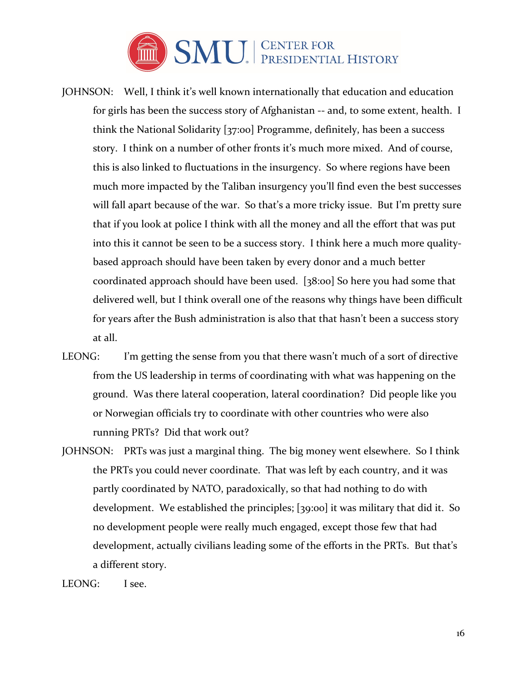

- JOHNSON: Well, I think it's well known internationally that education and education for girls has been the success story of Afghanistan -- and, to some extent, health. I think the National Solidarity [37:00] Programme, definitely, has been a success story. I think on a number of other fronts it's much more mixed. And of course, this is also linked to fluctuations in the insurgency. So where regions have been much more impacted by the Taliban insurgency you'll find even the best successes will fall apart because of the war. So that's a more tricky issue. But I'm pretty sure that if you look at police I think with all the money and all the effort that was put into this it cannot be seen to be a success story. I think here a much more qualitybased approach should have been taken by every donor and a much better coordinated approach should have been used. [38:00] So here you had some that delivered well, but I think overall one of the reasons why things have been difficult for years after the Bush administration is also that that hasn't been a success story at all.
- LEONG: I'm getting the sense from you that there wasn't much of a sort of directive from the US leadership in terms of coordinating with what was happening on the ground. Was there lateral cooperation, lateral coordination? Did people like you or Norwegian officials try to coordinate with other countries who were also running PRTs? Did that work out?
- JOHNSON: PRTs was just a marginal thing. The big money went elsewhere. So I think the PRTs you could never coordinate. That was left by each country, and it was partly coordinated by NATO, paradoxically, so that had nothing to do with development. We established the principles; [39:00] it was military that did it. So no development people were really much engaged, except those few that had development, actually civilians leading some of the efforts in the PRTs. But that's a different story.

LEONG: I see.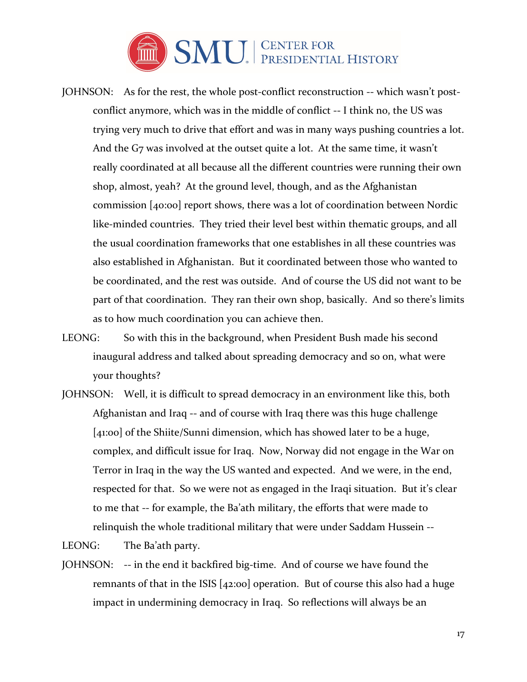

- JOHNSON: As for the rest, the whole post-conflict reconstruction -- which wasn't postconflict anymore, which was in the middle of conflict -- I think no, the US was trying very much to drive that effort and was in many ways pushing countries a lot. And the G7 was involved at the outset quite a lot. At the same time, it wasn't really coordinated at all because all the different countries were running their own shop, almost, yeah? At the ground level, though, and as the Afghanistan commission [40:00] report shows, there was a lot of coordination between Nordic like-minded countries. They tried their level best within thematic groups, and all the usual coordination frameworks that one establishes in all these countries was also established in Afghanistan. But it coordinated between those who wanted to be coordinated, and the rest was outside. And of course the US did not want to be part of that coordination. They ran their own shop, basically. And so there's limits as to how much coordination you can achieve then.
- LEONG: So with this in the background, when President Bush made his second inaugural address and talked about spreading democracy and so on, what were your thoughts?
- JOHNSON: Well, it is difficult to spread democracy in an environment like this, both Afghanistan and Iraq -- and of course with Iraq there was this huge challenge [41:00] of the Shiite/Sunni dimension, which has showed later to be a huge, complex, and difficult issue for Iraq. Now, Norway did not engage in the War on Terror in Iraq in the way the US wanted and expected. And we were, in the end, respected for that. So we were not as engaged in the Iraqi situation. But it's clear to me that -- for example, the Ba'ath military, the efforts that were made to relinquish the whole traditional military that were under Saddam Hussein --

LEONG: The Ba'ath party.

JOHNSON: -- in the end it backfired big-time. And of course we have found the remnants of that in the ISIS [42:00] operation. But of course this also had a huge impact in undermining democracy in Iraq. So reflections will always be an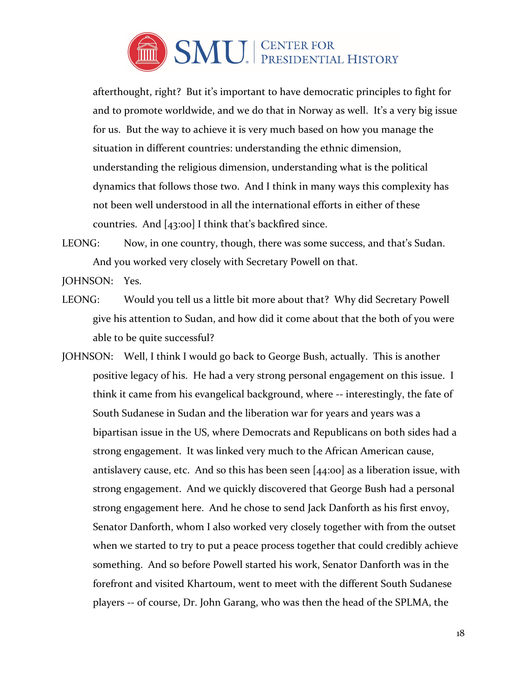

afterthought, right? But it's important to have democratic principles to fight for and to promote worldwide, and we do that in Norway as well. It's a very big issue for us. But the way to achieve it is very much based on how you manage the situation in different countries: understanding the ethnic dimension, understanding the religious dimension, understanding what is the political dynamics that follows those two. And I think in many ways this complexity has not been well understood in all the international efforts in either of these countries. And [43:00] I think that's backfired since.

LEONG: Now, in one country, though, there was some success, and that's Sudan. And you worked very closely with Secretary Powell on that.

JOHNSON: Yes.

- LEONG: Would you tell us a little bit more about that? Why did Secretary Powell give his attention to Sudan, and how did it come about that the both of you were able to be quite successful?
- JOHNSON: Well, I think I would go back to George Bush, actually. This is another positive legacy of his. He had a very strong personal engagement on this issue. I think it came from his evangelical background, where -- interestingly, the fate of South Sudanese in Sudan and the liberation war for years and years was a bipartisan issue in the US, where Democrats and Republicans on both sides had a strong engagement. It was linked very much to the African American cause, antislavery cause, etc. And so this has been seen [44:00] as a liberation issue, with strong engagement. And we quickly discovered that George Bush had a personal strong engagement here. And he chose to send Jack Danforth as his first envoy, Senator Danforth, whom I also worked very closely together with from the outset when we started to try to put a peace process together that could credibly achieve something. And so before Powell started his work, Senator Danforth was in the forefront and visited Khartoum, went to meet with the different South Sudanese players -- of course, Dr. John Garang, who was then the head of the SPLMA, the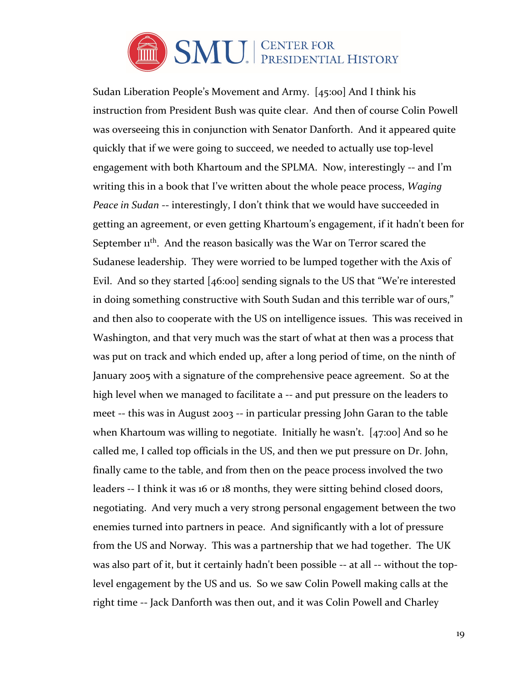

Sudan Liberation People's Movement and Army. [45:00] And I think his instruction from President Bush was quite clear. And then of course Colin Powell was overseeing this in conjunction with Senator Danforth. And it appeared quite quickly that if we were going to succeed, we needed to actually use top-level engagement with both Khartoum and the SPLMA. Now, interestingly -- and I'm writing this in a book that I've written about the whole peace process, *Waging Peace in Sudan* -- interestingly, I don't think that we would have succeeded in getting an agreement, or even getting Khartoum's engagement, if it hadn't been for September 1<sup>th</sup>. And the reason basically was the War on Terror scared the Sudanese leadership. They were worried to be lumped together with the Axis of Evil. And so they started [46:00] sending signals to the US that "We're interested in doing something constructive with South Sudan and this terrible war of ours," and then also to cooperate with the US on intelligence issues. This was received in Washington, and that very much was the start of what at then was a process that was put on track and which ended up, after a long period of time, on the ninth of January 2005 with a signature of the comprehensive peace agreement. So at the high level when we managed to facilitate a -- and put pressure on the leaders to meet -- this was in August 2003 -- in particular pressing John Garan to the table when Khartoum was willing to negotiate. Initially he wasn't. [47:00] And so he called me, I called top officials in the US, and then we put pressure on Dr. John, finally came to the table, and from then on the peace process involved the two leaders -- I think it was 16 or 18 months, they were sitting behind closed doors, negotiating. And very much a very strong personal engagement between the two enemies turned into partners in peace. And significantly with a lot of pressure from the US and Norway. This was a partnership that we had together. The UK was also part of it, but it certainly hadn't been possible -- at all -- without the toplevel engagement by the US and us. So we saw Colin Powell making calls at the right time -- Jack Danforth was then out, and it was Colin Powell and Charley